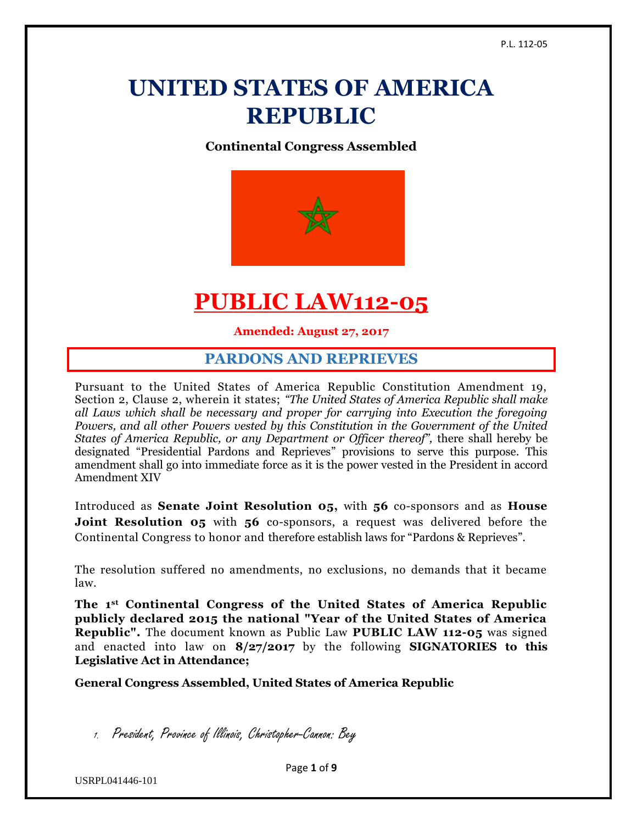# **UNITED STATES OF AMERICA REPUBLIC**

**Continental Congress Assembled**



# **PUBLIC LAW112-05**

**Amended: August 27, 2017**

#### **PARDONS AND REPRIEVES**

Pursuant to the United States of America Republic Constitution Amendment 19, Section 2, Clause 2, wherein it states; *"The United States of America Republic shall make all Laws which shall be necessary and proper for carrying into Execution the foregoing Powers, and all other Powers vested by this Constitution in the Government of the United States of America Republic, or any Department or Officer thereof"*, there shall hereby be designated "Presidential Pardons and Reprieves" provisions to serve this purpose. This amendment shall go into immediate force as it is the power vested in the President in accord Amendment XIV

Introduced as **Senate Joint Resolution 05,** with **56** co-sponsors and as **House Joint Resolution 05** with 56 co-sponsors, a request was delivered before the Continental Congress to honor and therefore establish laws for "Pardons & Reprieves".

The resolution suffered no amendments, no exclusions, no demands that it became law.

**The 1st Continental Congress of the United States of America Republic publicly declared 2015 the national "Year of the United States of America Republic".** The document known as Public Law **PUBLIC LAW 112-05** was signed and enacted into law on **8/27/2017** by the following **SIGNATORIES to this Legislative Act in Attendance;**

**General Congress Assembled, United States of America Republic**

1. President, Province of Illinois, Christopher-Cannon: Bey

Page **1** of **9**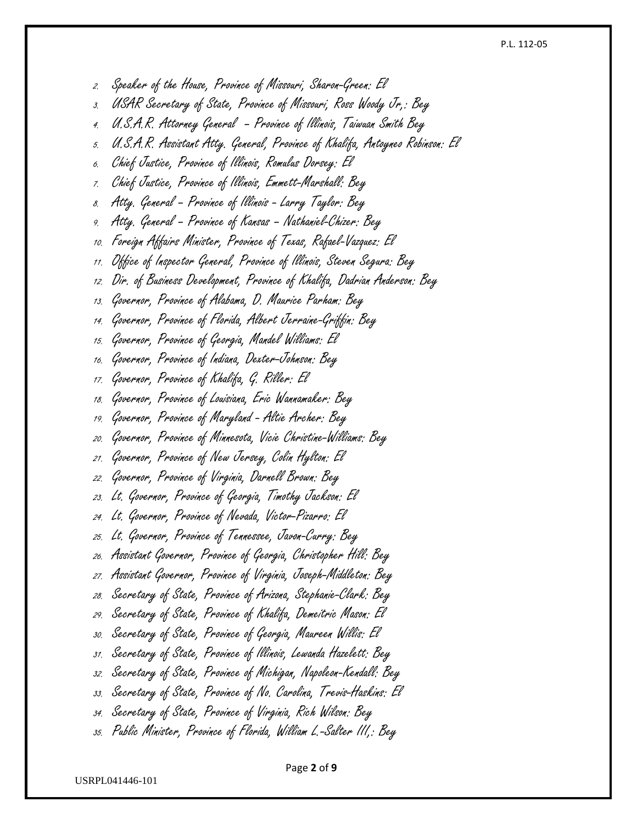#### P.L. 112-05

2. Speaker of the House, Province of Missouri, Sharon-Green: El

3. USAR Secretary of State, Province of Missouri, Ross Woody Jr,: Bey

- 4. U.S.A.R. Attorney General Province of Illinois, Taiwuan Smith Bey
- 5. U.S.A.R. Assistant Atty. General, Province of Khalifa, Antoyneo Robinson: El
- 6. Chief Justice, Province of Illinois, Romulus Dorsey: El
- 7. Chief Justice, Province of Illinois, Emmett-Marshall: Bey
- 8. Atty. General Province of Illinois Larry Taylor: Bey
- 9. Atty. General Province of Kansas Nathaniel-Chizer: Bey
- 10. Foreign Affairs Minister, Province of Texas, Rafael-Vazquez: El
- 11. Office of Inspector General, Province of Illinois, Steven Segura: Bey
- 12. Dir. of Business Development, Province of Khalifa, Dadrian Anderson: Bey
- 13. Governor, Province of Alabama, D. Maurice Parham: Bey
- 14. Governor, Province of Florida, Albert Jerraine-Griffin: Bey
- 15. Governor, Province of Georgia, Mandel Williams: El
- 16. Governor, Province of Indiana, Dexter-Johnson: Bey
- 17. Governor, Province of Khalifa, G. Riller: El
- 18. Governor, Province of Louisiana, Eric Wannamaker: Bey
- 19. Governor, Province of Maryland Altie Archer: Bey
- 20. Governor, Province of Minnesota, Vicie Christine-Williams: Bey
- 21. Governor, Province of New Jersey, Colin Hylton: El
- 22. Governor, Province of Virginia, Darnell Brown: Bey
- 23. Lt. Governor, Province of Georgia, Timothy Jackson: El
- 24. Lt. Governor, Province of Nevada, Victor-Pizarro: El
- 25. Lt. Governor, Province of Tennessee, Javon-Curry: Bey
- 26. Assistant Governor, Province of Georgia, Christopher Hill: Bey
- 27. Assistant Governor, Province of Virginia, Joseph-Middleton: Bey
- 28. Secretary of State, Province of Arizona, Stephanie-Clark: Bey
- 29. Secretary of State, Province of Khalifa, Demeitric Mason: El
- 30. Secretary of State, Province of Georgia, Maureen Willis: El
- 31. Secretary of State, Province of Illinois, Lewanda Hazelett: Bey
- 32. Secretary of State, Province of Michigan, Napoleon-Kendall: Bey
- 33. Secretary of State, Province of No. Carolina, Trevis-Haskins: El
- 34. Secretary of State, Province of Virginia, Rich Wilson: Bey
- 35. Public Minister, Province of Florida, William L.-Salter III,: Bey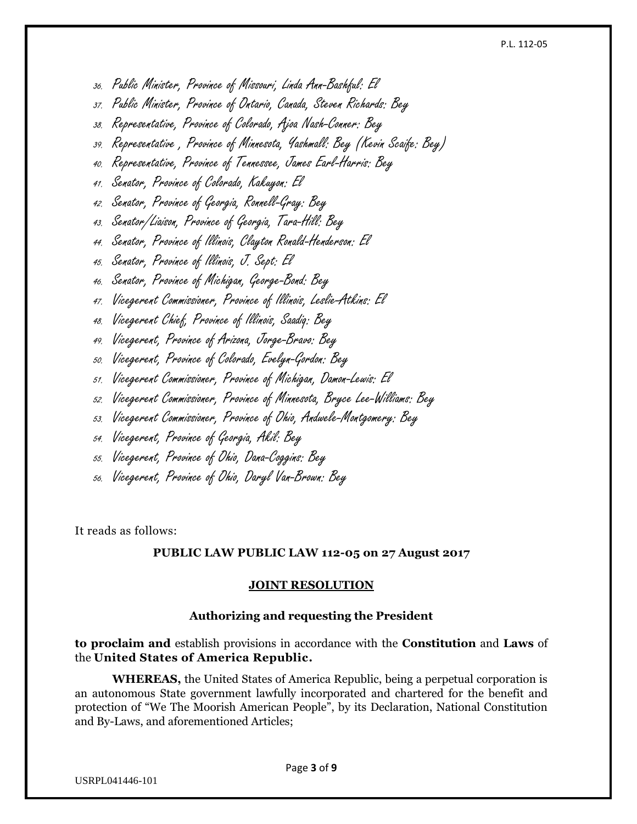#### P.L. 112-05

- 36. Public Minister, Province of Missouri, Linda Ann-Bashful: El
- 37. Public Minister, Province of Ontario, Canada, Steven Richards: Bey
- 38. Representative, Province of Colorado, Ajoa Nash-Conner: Bey
- 39. Representative , Province of Minnesota, Yashmall: Bey (Kevin Scaife: Bey)
- 40. Representative, Province of Tennessee, James Earl-Harris: Bey
- 41. Senator, Province of Colorado, Kakuyon: El
- 42. Senator, Province of Georgia, Ronnell-Gray: Bey
- 43. Senator/Liaison, Province of Georgia, Tara-Hill: Bey
- 44. Senator, Province of Illinois, Clayton Ronald-Henderson: El
- 45. Senator, Province of Illinois, J. Sept: El
- 46. Senator, Province of Michigan, George-Bond: Bey
- 47. Vicegerent Commissioner, Province of Illinois, Leslie-Atkins: El
- 48. Vicegerent Chief, Province of Illinois, Saadiq: Bey
- 49. Vicegerent, Province of Arizona, Jorge-Bravo: Bey
- 50. Vicegerent, Province of Colorado, Evelyn-Gordon: Bey
- 51. Vicegerent Commissioner, Province of Michigan, Damon-Lewis: El
- 52. Vicegerent Commissioner, Province of Minnesota, Bryce Lee-Williams: Bey
- 53. Vicegerent Commissioner, Province of Ohio, Andwele-Montgomery: Bey
- 54. Vicegerent, Province of Georgia, Akil: Bey
- 55. Vicegerent, Province of Ohio, Dana-Coggins: Bey
- 56. Vicegerent, Province of Ohio, Daryl Van-Brown: Bey

It reads as follows:

#### **PUBLIC LAW PUBLIC LAW 112-05 on 27 August 2017**

#### **JOINT RESOLUTION**

#### **Authorizing and requesting the President**

**to proclaim and** establish provisions in accordance with the **Constitution** and **Laws** of the **United States of America Republic.**

**WHEREAS,** the United States of America Republic, being a perpetual corporation is an autonomous State government lawfully incorporated and chartered for the benefit and protection of "We The Moorish American People", by its Declaration, National Constitution and By-Laws, and aforementioned Articles;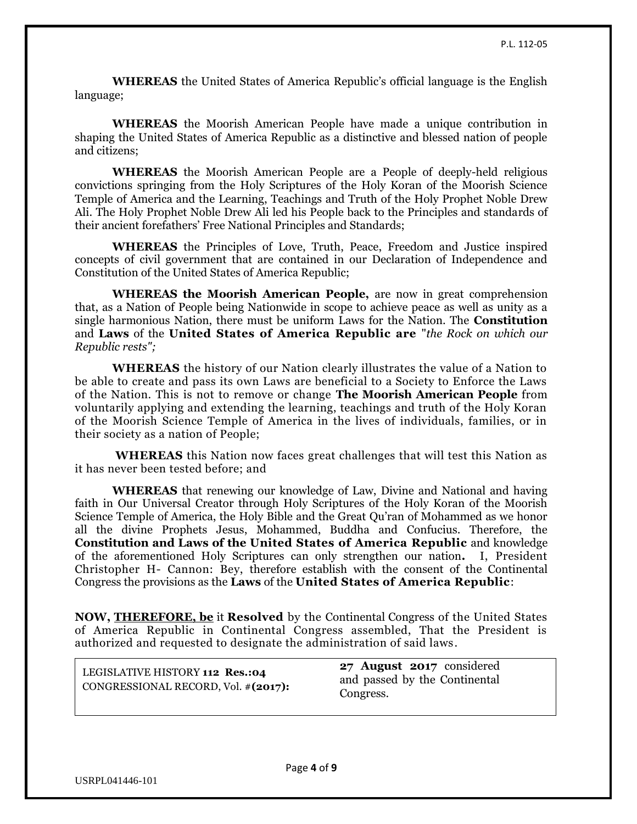**WHEREAS** the United States of America Republic's official language is the English language;

**WHEREAS** the Moorish American People have made a unique contribution in shaping the United States of America Republic as a distinctive and blessed nation of people and citizens;

**WHEREAS** the Moorish American People are a People of deeply-held religious convictions springing from the Holy Scriptures of the Holy Koran of the Moorish Science Temple of America and the Learning, Teachings and Truth of the Holy Prophet Noble Drew Ali. The Holy Prophet Noble Drew Ali led his People back to the Principles and standards of their ancient forefathers' Free National Principles and Standards;

**WHEREAS** the Principles of Love, Truth, Peace, Freedom and Justice inspired concepts of civil government that are contained in our Declaration of Independence and Constitution of the United States of America Republic;

**WHEREAS the Moorish American People,** are now in great comprehension that, as a Nation of People being Nationwide in scope to achieve peace as well as unity as a single harmonious Nation, there must be uniform Laws for the Nation. The **Constitution** and **Laws** of the **United States of America Republic are** "*the Rock on which our Republic rests";*

**WHEREAS** the history of our Nation clearly illustrates the value of a Nation to be able to create and pass its own Laws are beneficial to a Society to Enforce the Laws of the Nation. This is not to remove or change **The Moorish American People** from voluntarily applying and extending the learning, teachings and truth of the Holy Koran of the Moorish Science Temple of America in the lives of individuals, families, or in their society as a nation of People;

**WHEREAS** this Nation now faces great challenges that will test this Nation as it has never been tested before; and

**WHEREAS** that renewing our knowledge of Law, Divine and National and having faith in Our Universal Creator through Holy Scriptures of the Holy Koran of the Moorish Science Temple of America, the Holy Bible and the Great Qu'ran of Mohammed as we honor all the divine Prophets Jesus, Mohammed, Buddha and Confucius. Therefore, the **Constitution and Laws of the United States of America Republic** and knowledge of the aforementioned Holy Scriptures can only strengthen our nation**.** I, President Christopher H- Cannon: Bey, therefore establish with the consent of the Continental Congress the provisions as the **Laws** of the **United States of America Republic**:

**NOW, [THEREFORE, be](http://therefore.be/)** it **Resolved** by the Continental Congress of the United States of America Republic in Continental Congress assembled, That the President is authorized and requested to designate the administration of said laws.

| LEGISLATIVE HISTORY 112 Res.:04     | 27 A  |
|-------------------------------------|-------|
| CONGRESSIONAL RECORD, Vol. #(2017): | and p |
|                                     | Cong  |

**27 August 2017** considered bassed by the Continental gress.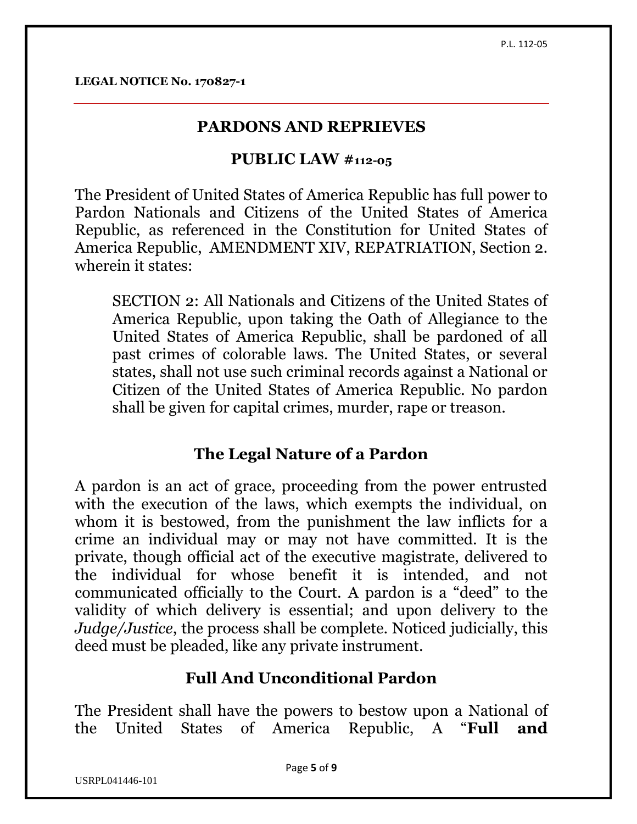**LEGAL NOTICE No. 170827-1**

### **PARDONS AND REPRIEVES**

### **PUBLIC LAW #112-05**

The President of United States of America Republic has full power to Pardon Nationals and Citizens of the United States of America Republic, as referenced in the Constitution for United States of America Republic, AMENDMENT XIV, REPATRIATION, Section 2. wherein it states:

SECTION 2: All Nationals and Citizens of the United States of America Republic, upon taking the Oath of Allegiance to the United States of America Republic, shall be pardoned of all past crimes of colorable laws. The United States, or several states, shall not use such criminal records against a National or Citizen of the United States of America Republic. No pardon shall be given for capital crimes, murder, rape or treason.

### **The Legal Nature of a Pardon**

A pardon is an act of grace, proceeding from the power entrusted with the execution of the laws, which exempts the individual, on whom it is bestowed, from the punishment the law inflicts for a crime an individual may or may not have committed. It is the private, though official act of the executive magistrate, delivered to the individual for whose benefit it is intended, and not communicated officially to the Court. A pardon is a "deed" to the validity of which delivery is essential; and upon delivery to the *Judge/Justice*, the process shall be complete. Noticed judicially, this deed must be pleaded, like any private instrument.

# **Full And Unconditional Pardon**

The President shall have the powers to bestow upon a National of the United States of America Republic, A "**Full and**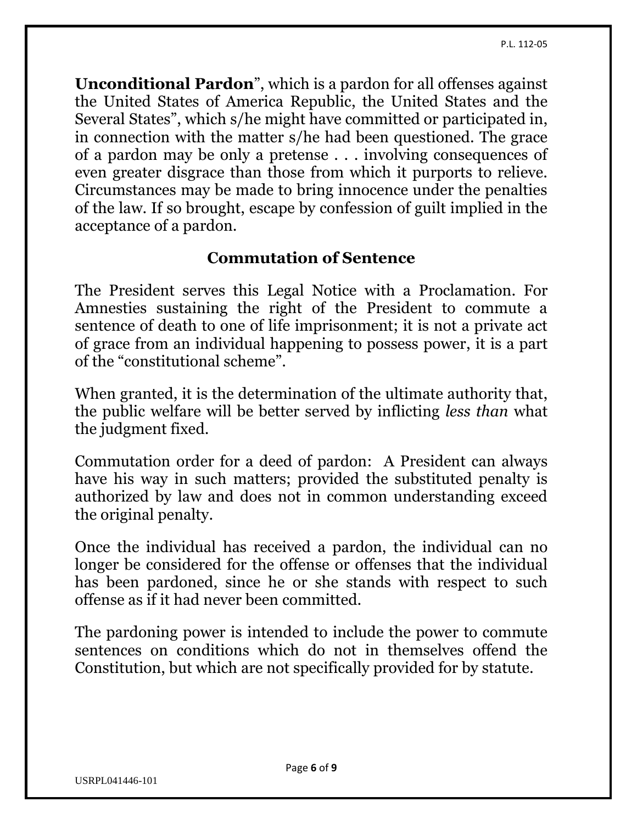**Unconditional Pardon**", which is a pardon for all offenses against the United States of America Republic, the United States and the Several States", which s/he might have committed or participated in, in connection with the matter s/he had been questioned. The grace of a pardon may be only a pretense . . . involving consequences of even greater disgrace than those from which it purports to relieve. Circumstances may be made to bring innocence under the penalties of the law. If so brought, escape by confession of guilt implied in the acceptance of a pardon.

### **Commutation of Sentence**

The President serves this Legal Notice with a Proclamation. For Amnesties sustaining the right of the President to commute a sentence of death to one of life imprisonment; it is not a private act of grace from an individual happening to possess power, it is a part of the "constitutional scheme".

When granted, it is the determination of the ultimate authority that, the public welfare will be better served by inflicting *less than* what the judgment fixed.

Commutation order for a deed of pardon: A President can always have his way in such matters; provided the substituted penalty is authorized by law and does not in common understanding exceed the original penalty.

Once the individual has received a pardon, the individual can no longer be considered for the offense or offenses that the individual has been pardoned, since he or she stands with respect to such offense as if it had never been committed.

The pardoning power is intended to include the power to commute sentences on conditions which do not in themselves offend the Constitution, but which are not specifically provided for by statute.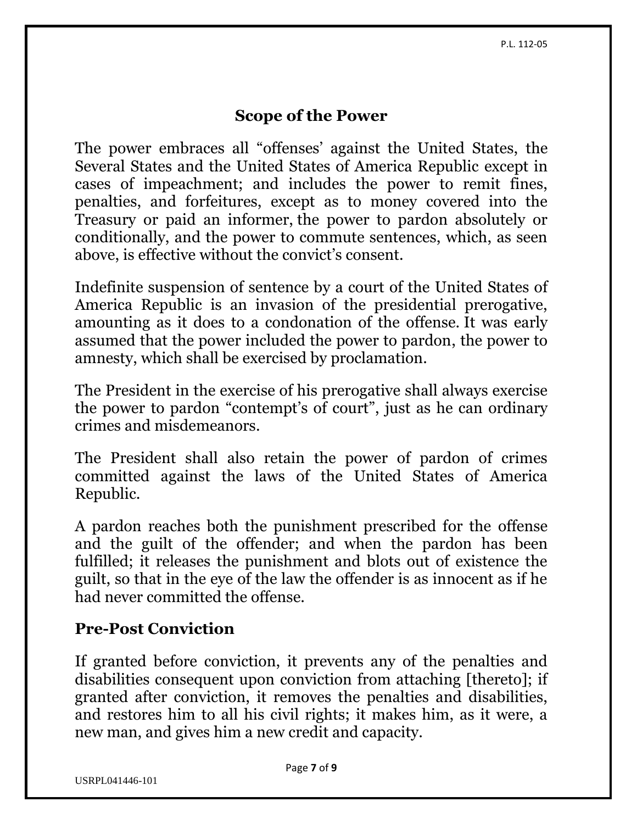#### **Scope of the Power**

The power embraces all "offenses' against the United States, the Several States and the United States of America Republic except in cases of impeachment; and includes the power to remit fines, penalties, and forfeitures, except as to money covered into the Treasury or paid an informer, the power to pardon absolutely or conditionally, and the power to commute sentences, which, as seen above, is effective without the convict's consent.

Indefinite suspension of sentence by a court of the United States of America Republic is an invasion of the presidential prerogative, amounting as it does to a condonation of the offense. It was early assumed that the power included the power to pardon, the power to amnesty, which shall be exercised by proclamation.

The President in the exercise of his prerogative shall always exercise the power to pardon "contempt's of court", just as he can ordinary crimes and misdemeanors.

The President shall also retain the power of pardon of crimes committed against the laws of the United States of America Republic.

A pardon reaches both the punishment prescribed for the offense and the guilt of the offender; and when the pardon has been fulfilled; it releases the punishment and blots out of existence the guilt, so that in the eye of the law the offender is as innocent as if he had never committed the offense.

### **Pre-Post Conviction**

If granted before conviction, it prevents any of the penalties and disabilities consequent upon conviction from attaching [thereto]; if granted after conviction, it removes the penalties and disabilities, and restores him to all his civil rights; it makes him, as it were, a new man, and gives him a new credit and capacity.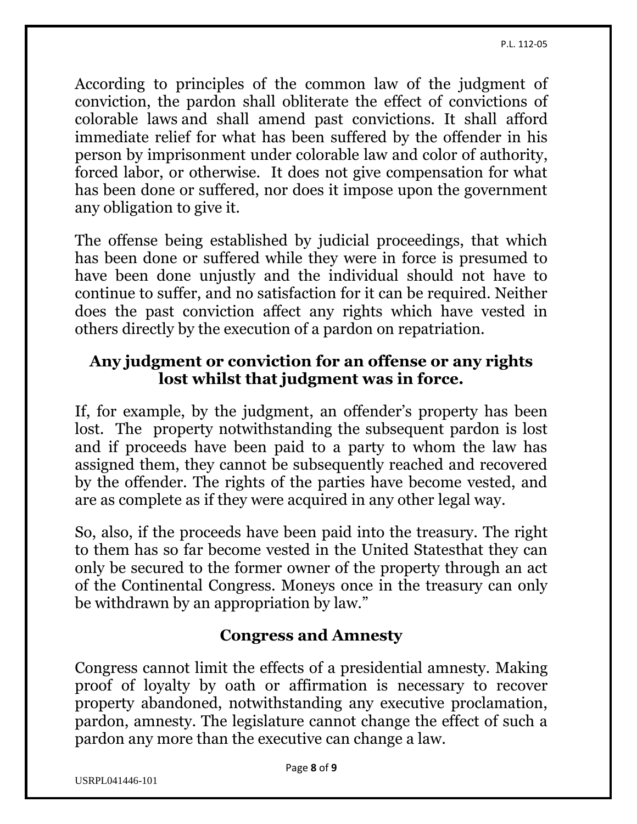P.L. 112-05

According to principles of the common law of the judgment of conviction, the pardon shall obliterate the effect of convictions of colorable laws and shall amend past convictions. It shall afford immediate relief for what has been suffered by the offender in his person by imprisonment under colorable law and color of authority, forced labor, or otherwise. It does not give compensation for what has been done or suffered, nor does it impose upon the government any obligation to give it.

The offense being established by judicial proceedings, that which has been done or suffered while they were in force is presumed to have been done unjustly and the individual should not have to continue to suffer, and no satisfaction for it can be required. Neither does the past conviction affect any rights which have vested in others directly by the execution of a pardon on repatriation.

## **Any judgment or conviction for an offense or any rights lost whilst that judgment was in force.**

If, for example, by the judgment, an offender's property has been lost. The property notwithstanding the subsequent pardon is lost and if proceeds have been paid to a party to whom the law has assigned them, they cannot be subsequently reached and recovered by the offender. The rights of the parties have become vested, and are as complete as if they were acquired in any other legal way.

So, also, if the proceeds have been paid into the treasury. The right to them has so far become vested in the United Statesthat they can only be secured to the former owner of the property through an act of the Continental Congress. Moneys once in the treasury can only be withdrawn by an appropriation by law."

# **Congress and Amnesty**

Congress cannot limit the effects of a presidential amnesty. Making proof of loyalty by oath or affirmation is necessary to recover property abandoned, notwithstanding any executive proclamation, pardon, amnesty. The legislature cannot change the effect of such a pardon any more than the executive can change a law.